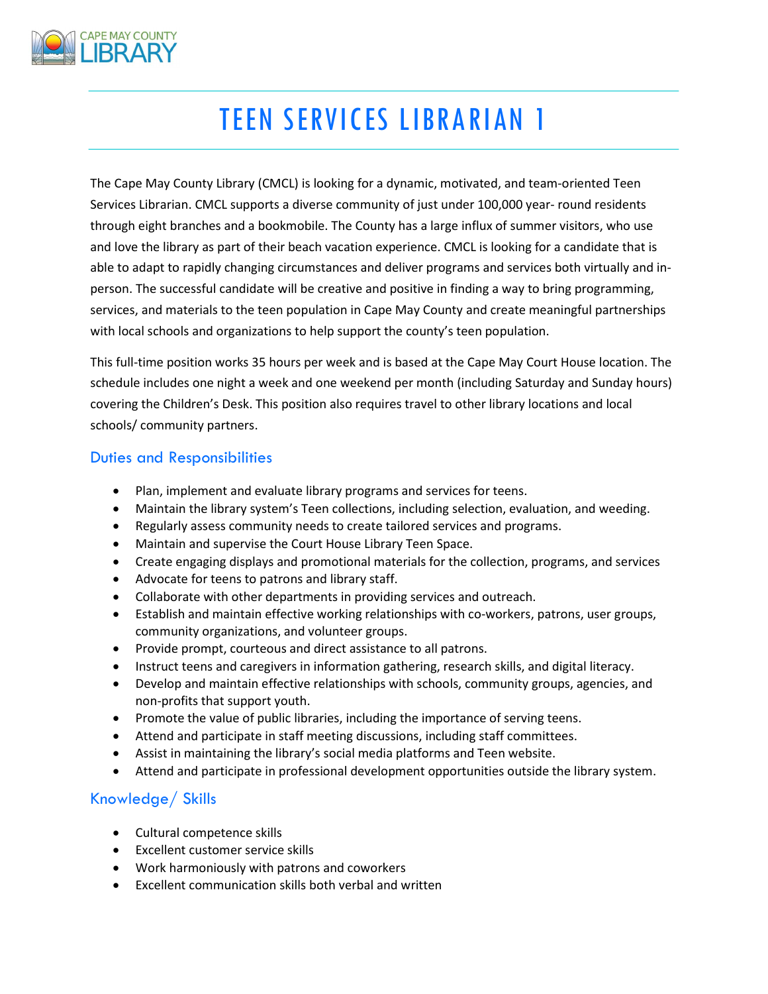

# TEEN SERVICES LIBRARIAN 1

The Cape May County Library (CMCL) is looking for a dynamic, motivated, and team-oriented Teen Services Librarian. CMCL supports a diverse community of just under 100,000 year- round residents through eight branches and a bookmobile. The County has a large influx of summer visitors, who use and love the library as part of their beach vacation experience. CMCL is looking for a candidate that is able to adapt to rapidly changing circumstances and deliver programs and services both virtually and inperson. The successful candidate will be creative and positive in finding a way to bring programming, services, and materials to the teen population in Cape May County and create meaningful partnerships with local schools and organizations to help support the county's teen population.

This full-time position works 35 hours per week and is based at the Cape May Court House location. The schedule includes one night a week and one weekend per month (including Saturday and Sunday hours) covering the Children's Desk. This position also requires travel to other library locations and local schools/ community partners.

## Duties and Responsibilities

- Plan, implement and evaluate library programs and services for teens.
- Maintain the library system's Teen collections, including selection, evaluation, and weeding.
- Regularly assess community needs to create tailored services and programs.
- Maintain and supervise the Court House Library Teen Space.
- Create engaging displays and promotional materials for the collection, programs, and services
- Advocate for teens to patrons and library staff.
- Collaborate with other departments in providing services and outreach.
- Establish and maintain effective working relationships with co-workers, patrons, user groups, community organizations, and volunteer groups.
- Provide prompt, courteous and direct assistance to all patrons.
- Instruct teens and caregivers in information gathering, research skills, and digital literacy.
- Develop and maintain effective relationships with schools, community groups, agencies, and non-profits that support youth.
- Promote the value of public libraries, including the importance of serving teens.
- Attend and participate in staff meeting discussions, including staff committees.
- Assist in maintaining the library's social media platforms and Teen website.
- Attend and participate in professional development opportunities outside the library system.

## Knowledge/ Skills

- Cultural competence skills
- Excellent customer service skills
- Work harmoniously with patrons and coworkers
- Excellent communication skills both verbal and written